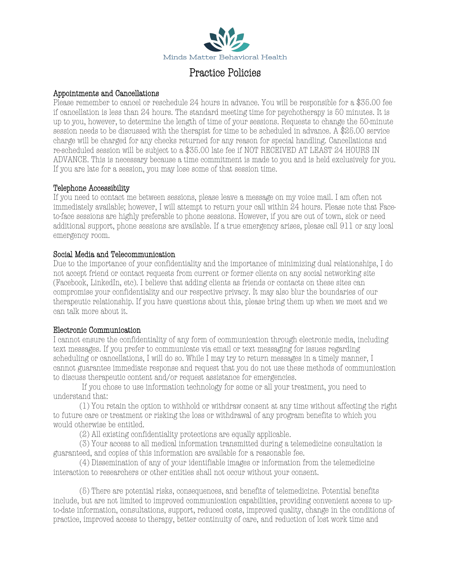

# Practice Policies

### Appointments and Cancellations

Please remember to cancel or reschedule 24 hours in advance. You will be responsible for a \$35.00 fee if cancellation is less than 24 hours. The standard meeting time for psychotherapy is 50 minutes. It is up to you, however, to determine the length of time of your sessions. Requests to change the 50-minute session needs to be discussed with the therapist for time to be scheduled in advance. A \$25.00 service charge will be charged for any checks returned for any reason for special handling. Cancellations and re-scheduled session will be subject to a \$35.00 late fee if NOT RECEIVED AT LEAST 24 HOURS IN ADVANCE. This is necessary because a time commitment is made to you and is held exclusively for you. If you are late for a session, you may lose some of that session time.

## Telephone Accessibility

If you need to contact me between sessions, please leave a message on my voice mail. I am often not immediately available; however, I will attempt to return your call within 24 hours. Please note that Faceto-face sessions are highly preferable to phone sessions. However, if you are out of town, sick or need additional support, phone sessions are available. If a true emergency arises, please call 911 or any local emergency room.

## Social Media and Telecommunication

Due to the importance of your confidentiality and the importance of minimizing dual relationships, I do not accept friend or contact requests from current or former clients on any social networking site (Facebook, LinkedIn, etc). I believe that adding clients as friends or contacts on these sites can compromise your confidentiality and our respective privacy. It may also blur the boundaries of our therapeutic relationship. If you have questions about this, please bring them up when we meet and we can talk more about it.

### Electronic Communication

I cannot ensure the confidentiality of any form of communication through electronic media, including text messages. If you prefer to communicate via email or text messaging for issues regarding scheduling or cancellations, I will do so. While I may try to return messages in a timely manner, I cannot guarantee immediate response and request that you do not use these methods of communication to discuss therapeutic content and/or request assistance for emergencies.

If you chose to use information technology for some or all your treatment, you need to understand that:

(1) You retain the option to withhold or withdraw consent at any time without affecting the right to future care or treatment or risking the loss or withdrawal of any program benefits to which you would otherwise be entitled.

(2) All existing confidentiality protections are equally applicable.

(3) Your access to all medical information transmitted during a telemedicine consultation is guaranteed, and copies of this information are available for a reasonable fee.

(4) Dissemination of any of your identifiable images or information from the telemedicine interaction to researchers or other entities shall not occur without your consent.

(5) There are potential risks, consequences, and benefits of telemedicine. Potential benefits include, but are not limited to improved communication capabilities, providing convenient access to upto-date information, consultations, support, reduced costs, improved quality, change in the conditions of practice, improved access to therapy, better continuity of care, and reduction of lost work time and